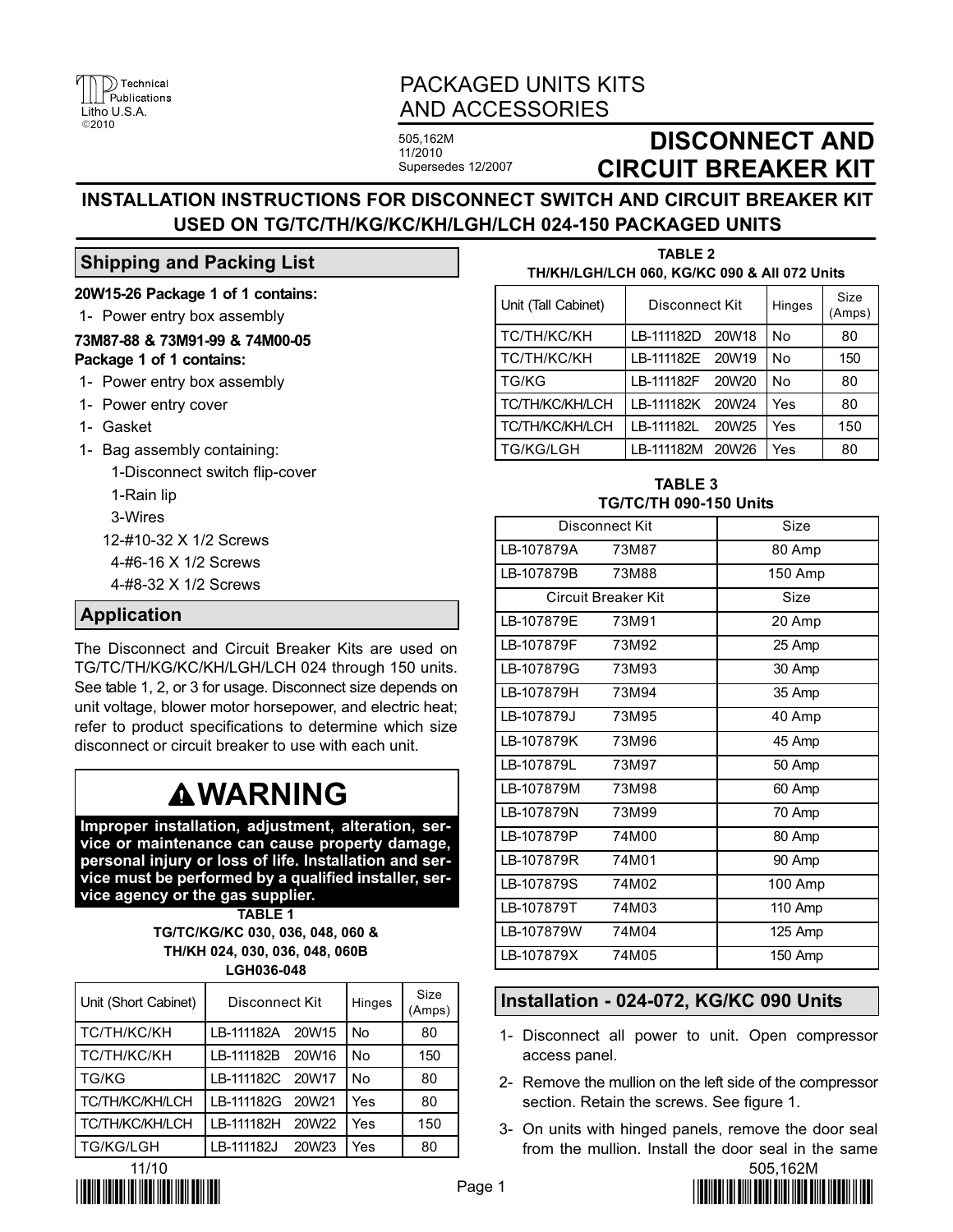

## PACKAGED UNITS KITS AND ACCESSORIES

505,162M 11/2010 Supersedes 12/2007

# DISCONNECT AND CIRCUIT BREAKER KIT

### INSTALLATION INSTRUCTIONS FOR DISCONNECT SWITCH AND CIRCUIT BREAKER KIT USED ON TG/TC/TH/KG/KC/KH/LGH/LCH 024−150 PACKAGED UNITS

### Shipping and Packing List

20W15−26 Package 1 of 1 contains:

1− Power entry box assembly

#### 73M87−88 & 73M91−99 & 74M00−05 Package 1 of 1 contains:

- 1− Power entry box assembly
- 1− Power entry cover
- 1− Gasket
- 1− Bag assembly containing:

1−Disconnect switch flip−cover

1−Rain lip

3−Wires

12−#10−32 X 1/2 Screws

4−#6−16 X 1/2 Screws

4−#8−32 X 1/2 Screws

### Application

The Disconnect and Circuit Breaker Kits are used on TG/TC/TH/KG/KC/KH/LGH/LCH 024 through 150 units. See table 1, 2, or 3 for usage. Disconnect size depends on unit voltage, blower motor horsepower, and electric heat; refer to product specifications to determine which size disconnect or circuit breaker to use with each unit.

# **AWARNING**

Improper installation, adjustment, alteration, service or maintenance can cause property damage, personal injury or loss of life. Installation and service must be performed by a qualified installer, service agency or the gas supplier.

> TABLE 1 TG/TC/KG/KC 030, 036, 048, 060 & TH/KH 024, 030, 036, 048, 060B

> > LGH036−048

| Unit (Short Cabinet)   | Disconnect Kit   |                   | Hinges    | Size<br>(Amps) |
|------------------------|------------------|-------------------|-----------|----------------|
| <b>TC/TH/KC/KH</b>     | LB-111182A       | 20W15             | <b>No</b> | 80             |
| TC/TH/KC/KH            | LB-111182B       | 20W16             | No        | 150            |
| <b>TG/KG</b>           | LB-111182C 20W17 |                   | <b>No</b> | 80             |
| <b>TC/TH/KC/KH/LCH</b> | LB-111182G       | 20W <sub>21</sub> | Yes       | 80             |
| <b>TC/TH/KC/KH/LCH</b> | LB-111182H       | 20W <sub>22</sub> | Yes       | 150            |
| <b>TG/KG/LGH</b>       | LB-111182J       | 20W23             | Yes       | 80             |



| <u>I HINHILUHILUH 000, NUINU 090 &amp; AII 072 UIIIIS</u> |                  |  |           |                |  |  |
|-----------------------------------------------------------|------------------|--|-----------|----------------|--|--|
| Unit (Tall Cabinet)                                       | Disconnect Kit   |  | Hinges    | Size<br>(Amps) |  |  |
| TC/TH/KC/KH                                               | LB-111182D 20W18 |  | <b>No</b> | 80             |  |  |
| TC/TH/KC/KH                                               | LB-111182E 20W19 |  | No        | 150            |  |  |
| TG/KG                                                     | LB-111182F 20W20 |  | No        | 80             |  |  |
| <b>TC/TH/KC/KH/LCH</b>                                    | LB-111182K 20W24 |  | Yes       | 80             |  |  |

TABLE 2 TH/KH/LGH/LCH 060, KG/KC 090 & All 072 Units

TABLE 3 TG/TC/TH 090−150 Units

TC/TH/KC/KH/LCH LB-111182L 20W25 Yes 1 150 TG/KG/LGH LB-111182M 20W26 Yes 80

| Disconnect Kit      |       | Size    |
|---------------------|-------|---------|
| LB-107879A          | 73M87 | 80 Amp  |
| LB-107879B          | 73M88 | 150 Amp |
| Circuit Breaker Kit |       | Size    |
| LB-107879E          | 73M91 | 20 Amp  |
| IB-107879F          | 73M92 | 25 Amp  |
| LB-107879G          | 73M93 | 30 Amp  |
| LB-107879H          | 73M94 | 35 Amp  |
| LB-107879J          | 73M95 | 40 Amp  |
| IB-107879K          | 73M96 | 45 Amp  |
| LB-107879L          | 73M97 | 50 Amp  |
| LB-107879M          | 73M98 | 60 Amp  |
| LB-107879N          | 73M99 | 70 Amp  |
| LB-107879P          | 74M00 | 80 Amp  |
| LB-107879R          | 74M01 | 90 Amp  |
| LB-107879S          | 74M02 | 100 Amp |
| LB-107879T          | 74M03 | 110 Amp |
| LB-107879W          | 74M04 | 125 Amp |
| LB-107879X          | 74M05 | 150 Amp |

### Installation − 024−072, KG/KC 090 Units

- 1− Disconnect all power to unit. Open compressor access panel.
- 2− Remove the mullion on the left side of the compressor section. Retain the screws. See figure 1.
- 3− On units with hinged panels, remove the door seal from the mullion. Install the door seal in the same

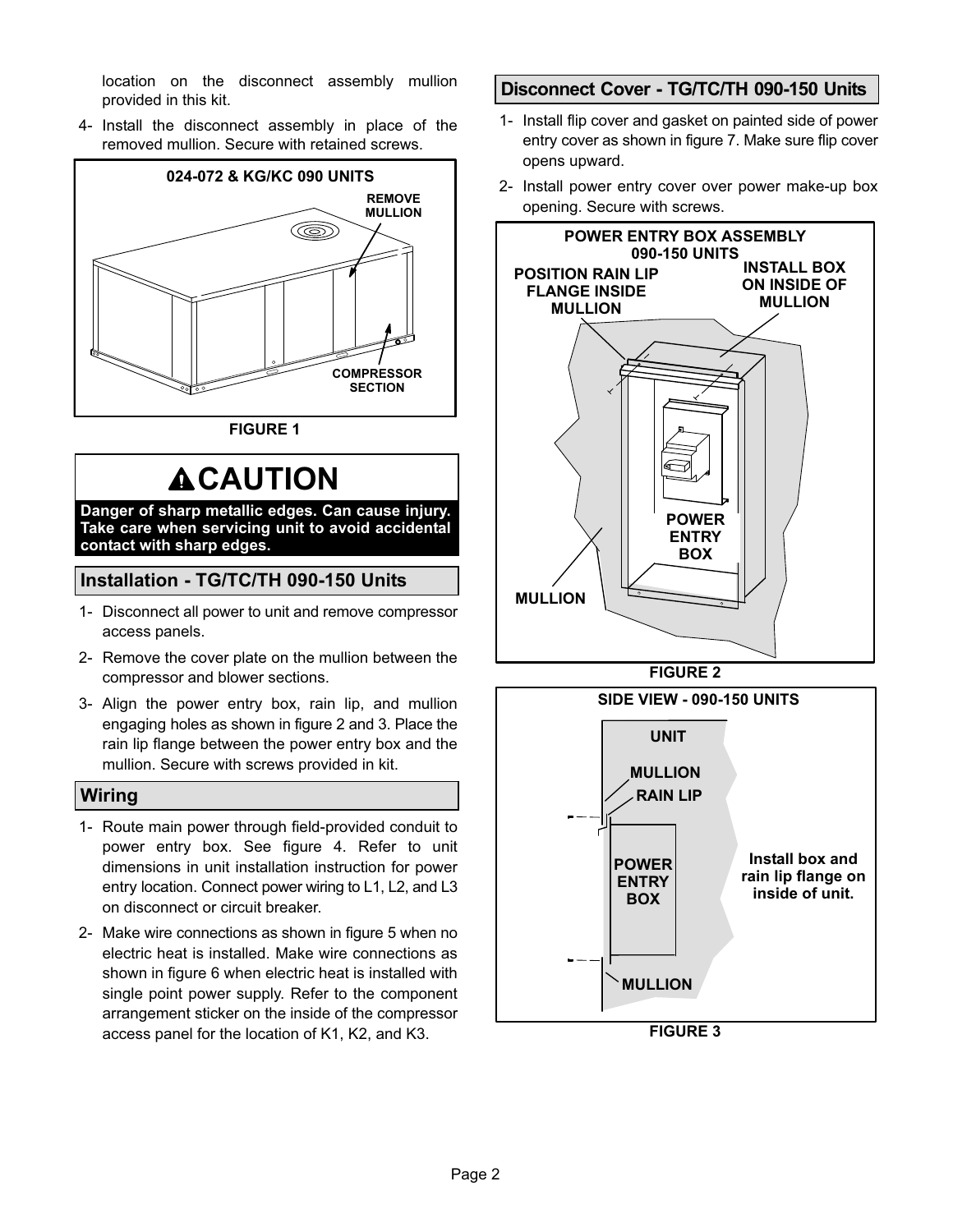location on the disconnect assembly mullion provided in this kit.

 4− Install the disconnect assembly in place of the removed mullion. Secure with retained screws.



FIGURE 1

# **ACAUTION**

Danger of sharp metallic edges. Can cause injury. Take care when servicing unit to avoid accidental contact with sharp edges.

### Installation − TG/TC/TH 090−150 Units

- 1− Disconnect all power to unit and remove compressor access panels.
- 2− Remove the cover plate on the mullion between the compressor and blower sections.
- 3− Align the power entry box, rain lip, and mullion engaging holes as shown in figure 2 and 3. Place the rain lip flange between the power entry box and the mullion. Secure with screws provided in kit.

### **Wiring**

- 1− Route main power through field−provided conduit to power entry box. See figure 4. Refer to unit dimensions in unit installation instruction for power entry location. Connect power wiring to L1, L2, and L3 on disconnect or circuit breaker.
- 2− Make wire connections as shown in figure 5 when no electric heat is installed. Make wire connections as shown in figure 6 when electric heat is installed with single point power supply. Refer to the component arrangement sticker on the inside of the compressor access panel for the location of K1, K2, and K3.

### Disconnect Cover − TG/TC/TH 090−150 Units

- 1− Install flip cover and gasket on painted side of power entry cover as shown in figure 7. Make sure flip cover opens upward.
- 2− Install power entry cover over power make−up box opening. Secure with screws.



FIGURE 2



FIGURE 3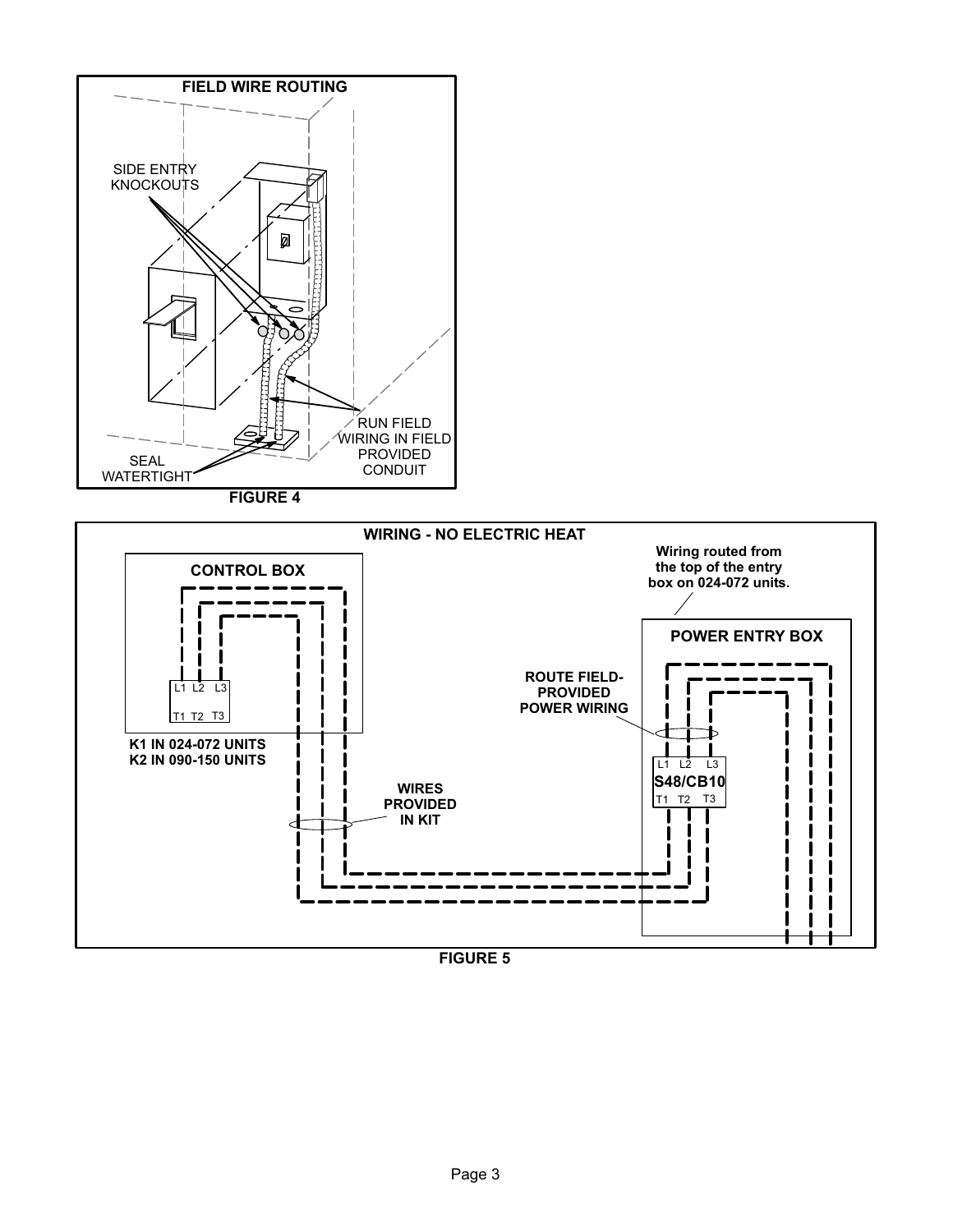

FIGURE 5